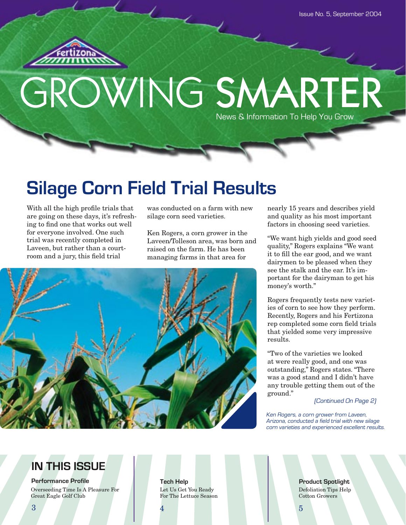

# GROWING SMARTER News & Information To Help You Grow

# **Silage Corn Field Trial Results**

With all the high profile trials that are going on these days, it's refreshing to find one that works out well for everyone involved. One such trial was recently completed in Laveen, but rather than a courtroom and a jury, this field trial

was conducted on a farm with new silage corn seed varieties.

Ken Rogers, a corn grower in the Laveen/Tolleson area, was born and raised on the farm. He has been managing farms in that area for



nearly 15 years and describes yield and quality as his most important factors in choosing seed varieties.

"We want high yields and good seed quality," Rogers explains "We want it to fill the ear good, and we want dairymen to be pleased when they see the stalk and the ear. It's important for the dairyman to get his money's worth."

Rogers frequently tests new varieties of corn to see how they perform. Recently, Rogers and his Fertizona rep completed some corn field trials that yielded some very impressive results.

"Two of the varieties we looked at were really good, and one was outstanding," Rogers states. "There was a good stand and I didn't have any trouble getting them out of the ground."

(Continued On Page 2)

Ken Rogers, a corn grower from Laveen, Arizona, conducted a field trial with new silage corn varieties and experienced excellent results.

## **IN THIS ISSUE**

**Performance Profile** Overseeding Time Is A Pleasure For Great Eagle Golf Club

Let Us Get You Ready For The Lettuce Season

**Tech Help Reserves Tech Help Product Spotlight** Defoliation Tips Help Cotton Growers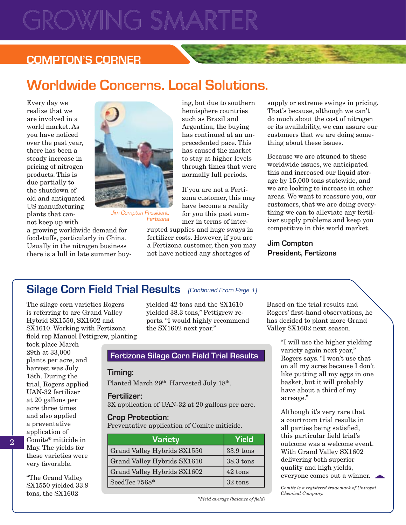# ROWING SMARTER

### **COMPTON'S CORNER**

# **Worldwide Concerns. Local Solutions.**

Every day we realize that we are involved in a world market. As you have noticed over the past year, there has been a steady increase in pricing of nitrogen products. This is due partially to the shutdown of old and antiquated US manufacturing plants that cannot keep up with



Jim Compton President, Fertizona

a growing worldwide demand for foodstuffs, particularly in China. Usually in the nitrogen business there is a lull in late summer buying, but due to southern hemisphere countries such as Brazil and Argentina, the buying has continued at an unprecedented pace. This has caused the market to stay at higher levels through times that were normally lull periods.

If you are not a Fertizona customer, this may have become a reality for you this past summer in terms of inter-

rupted supplies and huge sways in fertilizer costs. However, if you are a Fertizona customer, then you may not have noticed any shortages of

supply or extreme swings in pricing. That's because, although we can't do much about the cost of nitrogen or its availability, we can assure our customers that we are doing something about these issues.

Because we are attuned to these worldwide issues, we anticipated this and increased our liquid storage by 15,000 tons statewide, and we are looking to increase in other areas. We want to reassure you, our customers, that we are doing everything we can to alleviate any fertilizer supply problems and keep you competitive in this world market.

**Jim Compton President, Fertizona**

### Silage Corn Field Trial Results (Continued From Page 1)

The silage corn varieties Rogers is referring to are Grand Valley Hybrid SX1550, SX1602 and SX1610. Working with Fertizona field rep Manuel Pettigrew, planting

took place March 29th at 33,000 plants per acre, and harvest was July 18th. During the trial, Rogers applied UAN-32 fertilizer at 20 gallons per acre three times and also applied a preventative application of Comite® miticide in May. The yields for these varieties were very favorable.

"The Grand Valley SX1550 yielded 33.9 tons, the SX1602

yielded 42 tons and the SX1610 yielded 38.3 tons," Pettigrew reports. "I would highly recommend the SX1602 next year."

### **Fertizona Silage Corn Field Trial Results**

### **Timing:**

Planted March 29<sup>th</sup>. Harvested July 18<sup>th</sup>.

#### **Fertilizer:**

3X application of UAN-32 at 20 gallons per acre.

#### **Crop Protection:**

Preventative application of Comite miticide.

| Variety                     | Yield     |
|-----------------------------|-----------|
| Grand Valley Hybrids SX1550 | 33.9 tons |
| Grand Valley Hybrids SX1610 | 38.3 tons |
| Grand Valley Hybrids SX1602 | 42 tons   |
| SeedTec 7568*               | 32 tons   |

*\*Field average (balance of fi eld)*

Based on the trial results and Rogers' first-hand observations, he has decided to plant more Grand Valley SX1602 next season.

> "I will use the higher yielding variety again next year," Rogers says. "I won't use that on all my acres because I don't like putting all my eggs in one basket, but it will probably have about a third of my acreage."

> Although it's very rare that a courtroom trial results in all parties being satisfied, this particular field trial's outcome was a welcome event. With Grand Valley SX1602 delivering both superior quality and high yields, everyone comes out a winner.

*Comite is a registered trademark of Uniroyal Chemical Company.*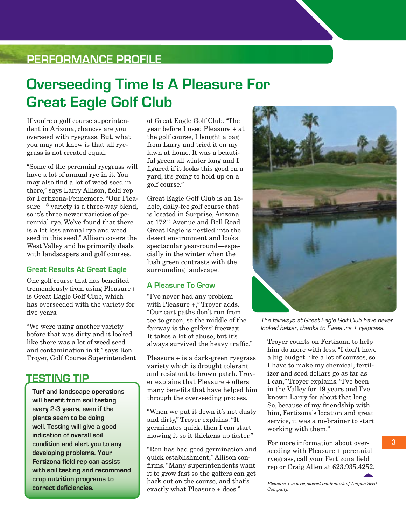### **PERFORMANCE PROFILE**

## **Overseeding Time Is A Pleasure For Great Eagle Golf Club**

If you're a golf course superintendent in Arizona, chances are you overseed with ryegrass. But, what you may not know is that all ryegrass is not created equal.

"Some of the perennial ryegrass will have a lot of annual rye in it. You may also find a lot of weed seed in there," says Larry Allison, field rep for Fertizona-Fennemore. "Our Pleasure  $+^{\circ}$  variety is a three-way blend, so it's three newer varieties of perennial rye. We've found that there is a lot less annual rye and weed seed in this seed." Allison covers the West Valley and he primarily deals with landscapers and golf courses.

#### **Great Results At Great Eagle**

One golf course that has benefited tremendously from using Pleasure + is Great Eagle Golf Club, which has overseeded with the variety for five years.

"We were using another variety before that was dirty and it looked like there was a lot of weed seed and contamination in it," says Ron Troyer, Golf Course Superintendent

### **TESTING TIP**

**Turf and landscape operations will benefit from soil testing every 2-3 years, even if the plants seem to be doing well. Testing will give a good indication of overall soil condition and alert you to any developing problems. Your Fertizona field rep can assist with soil testing and recommend crop nutrition programs to correct deficiencies.**

of Great Eagle Golf Club. "The year before I used Pleasure + at the golf course, I bought a bag from Larry and tried it on my lawn at home. It was a beautiful green all winter long and I figured if it looks this good on a yard, it's going to hold up on a golf course."

Great Eagle Golf Club is an 18 hole, daily-fee golf course that is located in Surprise, Arizona at 172nd Avenue and Bell Road. Great Eagle is nestled into the desert environment and looks spectacular year-round—especially in the winter when the lush green contrasts with the surrounding landscape.

### **A Pleasure To Grow**

"I've never had any problem with Pleasure +," Troyer adds. "Our cart paths don't run from tee to green, so the middle of the fairway is the golfers' freeway. It takes a lot of abuse, but it's always survived the heavy traffic."

Pleasure + is a dark-green ryegrass variety which is drought tolerant and resistant to brown patch. Troyer explains that Pleasure + offers many benefits that have helped him through the overseeding process.

"When we put it down it's not dusty and dirty," Troyer explains. "It germinates quick, then I can start mowing it so it thickens up faster."

"Ron has had good germination and quick establishment," Allison confirms. "Many superintendents want it to grow fast so the golfers can get back out on the course, and that's exactly what Pleasure + does."



The fairways at Great Eagle Golf Club have never looked better, thanks to Pleasure + ryegrass.

Troyer counts on Fertizona to help him do more with less. "I don't have a big budget like a lot of courses, so I have to make my chemical, fertilizer and seed dollars go as far as I can," Troyer explains. "I've been in the Valley for 19 years and I've known Larry for about that long. So, because of my friendship with him, Fertizona's location and great service, it was a no-brainer to start working with them."

For more information about overseeding with Pleasure + perennial ryegrass, call your Fertizona field rep or Craig Allen at 623.935.4252.

*Pleasure + is a registered trademark of Ampac Seed Company.*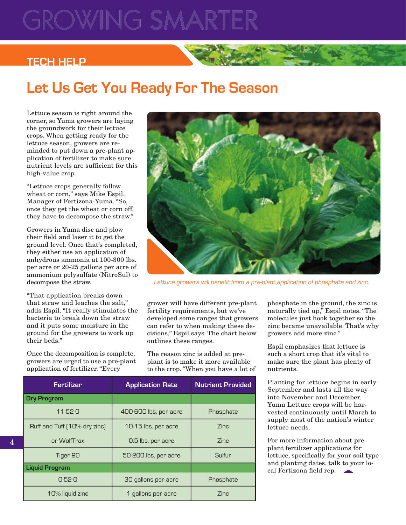# OWING SMA

### **TECH HELP**

# **Let Us Get You Ready For The Season**

Lettuce season is right around the corner, so Yuma growers are laying the groundwork for their lettuce crops. When getting ready for the lettuce season, growers are reminded to put down a pre-plant application of fertilizer to make sure nutrient levels are sufficient for this high-value crop.

"Lettuce crops generally follow wheat or corn," says Mike Espil, Manager of Fertizona-Yuma. "So, once they get the wheat or corn off, they have to decompose the straw."

Growers in Yuma disc and plow their field and laser it to get the ground level. Once that's completed, they either use an application of anhydrous ammonia at 100-300 lbs. per acre or 20-25 gallons per acre of ammonium polysulfate (NitroSul) to decompose the straw.

"That application breaks down that straw and leaches the salt," adds Espil. "It really stimulates the bacteria to break down the straw and it puts some moisture in the ground for the growers to work up their beds."

Once the decomposition is complete, growers are urged to use a pre-plant application of fertilizer. "Every

4



Lettuce growers will benefit from a pre-plant application of phosphate and zinc.

grower will have different pre-plant fertility requirements, but we've developed some ranges that growers can refer to when making these decisions," Espil says. The chart below outlines these ranges.

The reason zinc is added at preplant is to make it more available to the crop. "When you have a lot of

| <b>Fertilizer</b>            | <b>Application Rate</b> | <b>Nutrient Provided</b> |
|------------------------------|-------------------------|--------------------------|
| <b>Dry Program</b>           |                         |                          |
| $11-52-0$                    | 400-600 lbs. per acre   | Phosphate                |
| Ruff and Tuff [10% dry zinc] | 10-15 lbs. per acre     | 7inc                     |
| or WolfTrax                  | 0.5 lbs. per acre       | Zinc                     |
| Tiger 90                     | 50-200 lbs. per acre    | Sulfur                   |
| <b>Liquid Program</b>        |                         |                          |
| $0-52-0$                     | 30 gallons per acre     | Phosphate                |
| 10% liquid zinc              | 1 gallons per acre      | Zinc                     |

phosphate in the ground, the zinc is naturally tied up," Espil notes. "The molecules just hook together so the zinc became unavailable. That's why growers add more zinc."

Espil emphasizes that lettuce is such a short crop that it's vital to make sure the plant has plenty of nutrients.

Planting for lettuce begins in early September and lasts all the way into November and December. Yuma Lettuce crops will be harvested continuously until March to supply most of the nation's winter lettuce needs.

For more information about preplant fertilizer applications for lettuce, specifically for your soil type and planting dates, talk to your lo $cal$  Fertizona field rep.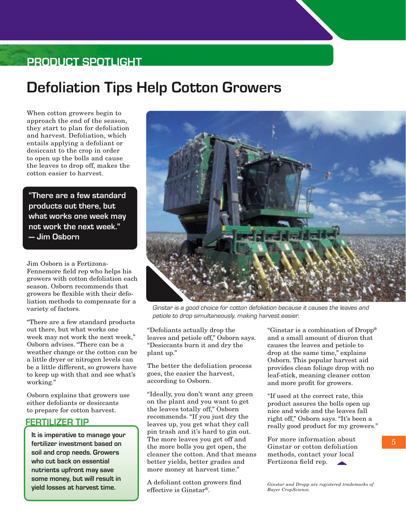### **PRODUCT SPOTLIGHT**

## **Defoliation Tips Help Cotton Growers**

When cotton growers begin to approach the end of the season, they start to plan for defoliation and harvest. Defoliation, which entails applying a defoliant or desiccant to the crop in order to open up the bolls and cause the leaves to drop off, makes the cotton easier to harvest.

**"There are a few standard products out there, but what works one week may not work the next week." — Jim Osborn**

Jim Osborn is a Fertizona-Fennemore field rep who helps his growers with cotton defoliation each season. Osborn recommends that growers be flexible with their defoliation methods to compensate for a variety of factors.

"There are a few standard products out there, but what works one week may not work the next week," Osborn advises. "There can be a weather change or the cotton can be a little dryer or nitrogen levels can be a little different, so growers have to keep up with that and see what's working."

Osborn explains that growers use either defoliants or desiccants to prepare for cotton harvest.

### **FERTILIZER TIP**

**It is imperative to manage your fertilizer investment based on soil and crop needs. Growers who cut back on essential nutrients upfront may save some money, but will result in yield losses at harvest time.**



Ginstar is a good choice for cotton defoliation because it causes the leaves and petiole to drop simultaneously, making harvest easier.

"Defoliants actually drop the leaves and petiole off," Osborn says. "Desiccants burn it and dry the plant up."

The better the defoliation process goes, the easier the harvest, according to Osborn.

"Ideally, you don't want any green on the plant and you want to get the leaves totally off," Osborn recommends. "If you just dry the leaves up, you get what they call pin trash and it's hard to gin out. The more leaves you get off and the more bolls you get open, the cleaner the cotton. And that means better yields, better grades and more money at harvest time."

A defoliant cotton growers find effective is Ginstar®.

"Ginstar is a combination of Dropp® and a small amount of diuron that causes the leaves and petiole to drop at the same time," explains Osborn. This popular harvest aid provides clean foliage drop with no leaf-stick, meaning cleaner cotton and more profit for growers.

"If used at the correct rate, this product assures the bolls open up nice and wide and the leaves fall right off," Osborn says. "It's been a really good product for my growers."

For more information about Ginstar or cotton defoliation methods, contact your local Fertizona field rep.

*Ginstar and Dropp are registered trademarks of Bayer CropScience.*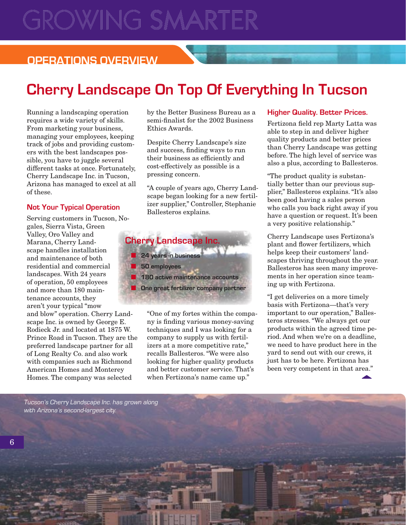# GROWING SMARTER

### **OPERATIONS OVERVIEW**

# **Cherry Landscape On Top Of Everything In Tucson**

Running a landscaping operation requires a wide variety of skills. From marketing your business, managing your employees, keeping track of jobs and providing customers with the best landscapes possible, you have to juggle several different tasks at once. Fortunately, Cherry Landscape Inc. in Tucson, Arizona has managed to excel at all of these.

#### **Not Your Typical Operation**

Serving customers in Tucson, Nogales, Sierra Vista, Green Valley, Oro Valley and Marana, Cherry Landscape handles installation and maintenance of both residential and commercial landscapes. With 24 years of operation, 50 employees and more than 180 maintenance accounts, they aren't your typical "mow and blow" operation. Cherry Land-

scape Inc. is owned by George E. Rodieck Jr. and located at 1875 W. Prince Road in Tucson. They are the preferred landscape partner for all of Long Realty Co. and also work with companies such as Richmond American Homes and Monterey Homes. The company was selected

by the Better Business Bureau as a semi-finalist for the 2002 Business Ethics Awards.

Despite Cherry Landscape's size and success, finding ways to run their business as efficiently and cost-effectively as possible is a pressing concern.

"A couple of years ago, Cherry Landscape began looking for a new fertilizer supplier," Controller, Stephanie Ballesteros explains.



"One of my fortes within the company is finding various money-saving techniques and I was looking for a company to supply us with fertilizers at a more competitive rate," recalls Ballesteros. "We were also looking for higher quality products and better customer service. That's when Fertizona's name came up."

#### **Higher Quality. Better Prices.**

Fertizona field rep Marty Latta was able to step in and deliver higher quality products and better prices than Cherry Landscape was getting before. The high level of service was also a plus, according to Ballesteros.

"The product quality is substantially better than our previous supplier," Ballesteros explains. "It's also been good having a sales person who calls you back right away if you have a question or request. It's been a very positive relationship."

Cherry Landscape uses Fertizona's plant and flower fertilizers, which helps keep their customers' landscapes thriving throughout the year. Ballesteros has seen many improvements in her operation since teaming up with Fertizona.

"I get deliveries on a more timely basis with Fertizona—that's very important to our operation," Ballesteros stresses. "We always get our products within the agreed time period. And when we're on a deadline, we need to have product here in the yard to send out with our crews, it just has to be here. Fertizona has been very competent in that area."

Tucson's Cherry Landscape Inc. has grown along with Arizona's second-largest city.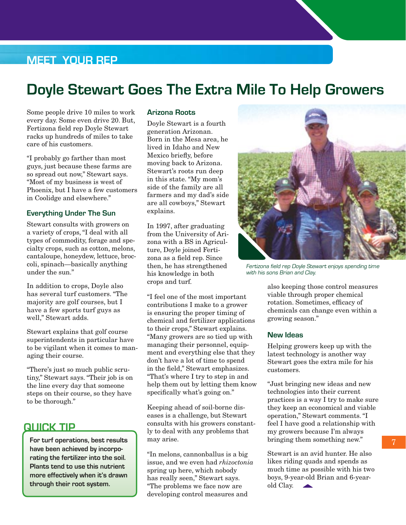### **MEET YOUR REP**

## **Doyle Stewart Goes The Extra Mile To Help Growers**

Some people drive 10 miles to work every day. Some even drive 20. But, Fertizona field rep Doyle Stewart racks up hundreds of miles to take care of his customers.

"I probably go farther than most guys, just because these farms are so spread out now," Stewart says. "Most of my business is west of Phoenix, but I have a few customers in Coolidge and elsewhere."

#### **Everything Under The Sun**

Stewart consults with growers on a variety of crops, "I deal with all types of commodity, forage and specialty crops, such as cotton, melons, cantaloupe, honeydew, lettuce, broccoli, spinach—basically anything under the sun."

In addition to crops, Doyle also has several turf customers. "The majority are golf courses, but I have a few sports turf guys as well," Stewart adds.

Stewart explains that golf course superintendents in particular have to be vigilant when it comes to managing their course.

"There's just so much public scrutiny," Stewart says. "Their job is on the line every day that someone steps on their course, so they have to be thorough."

### **QUICK TIP**

**For turf operations, best results have been achieved by incorporating the fertilizer into the soil. Plants tend to use this nutrient more effectively when it's drawn through their root system.**

#### **Arizona Roots**

Doyle Stewart is a fourth generation Arizonan. Born in the Mesa area, he lived in Idaho and New Mexico briefly, before moving back to Arizona. Stewart's roots run deep in this state. "My mom's side of the family are all farmers and my dad's side are all cowboys," Stewart explains.

In 1997, after graduating from the University of Arizona with a BS in Agriculture, Doyle joined Fertizona as a field rep. Since then, he has strengthened his knowledge in both crops and turf.

"I feel one of the most important contributions I make to a grower is ensuring the proper timing of chemical and fertilizer applications to their crops," Stewart explains. "Many growers are so tied up with managing their personnel, equipment and everything else that they don't have a lot of time to spend in the field," Stewart emphasizes. "That's where I try to step in and help them out by letting them know specifically what's going on."

Keeping ahead of soil-borne diseases is a challenge, but Stewart consults with his growers constantly to deal with any problems that may arise.

"In melons, cannonballus is a big issue, and we even had *rhizoctonia* spring up here, which nobody has really seen," Stewart says. "The problems we face now are developing control measures and



Fertizona field rep Doyle Stewart enjoys spending time with his sons Brian and Clay.

also keeping those control measures viable through proper chemical rotation. Sometimes, efficacy of chemicals can change even within a growing season."

#### **New Ideas**

Helping growers keep up with the latest technology is another way Stewart goes the extra mile for his customers.

"Just bringing new ideas and new technologies into their current practices is a way I try to make sure they keep an economical and viable operation," Stewart comments. "I feel I have good a relationship with my growers because I'm always bringing them something new."

Stewart is an avid hunter. He also likes riding quads and spends as much time as possible with his two boys, 9-year-old Brian and 6-yearold Clay. **Contract Contract**